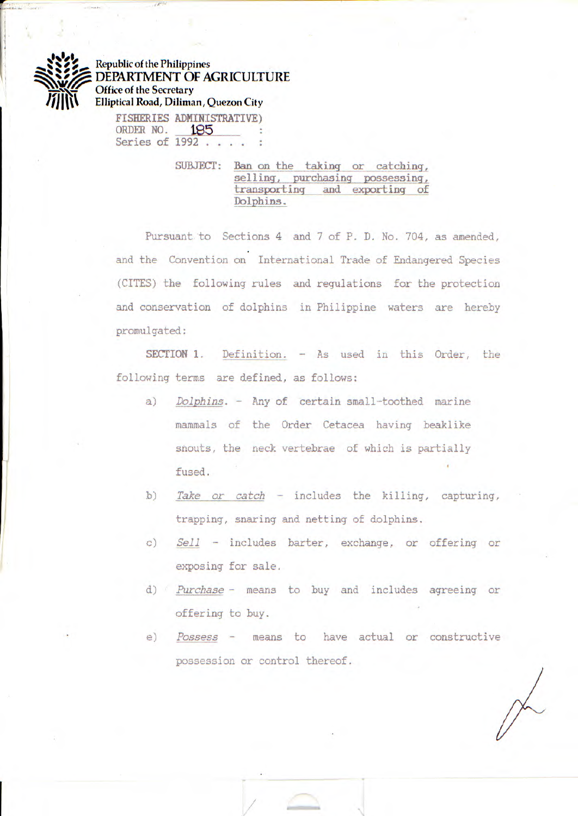

**Republic of the Philippines**  DEPARTMENT OF AGRICULTURE **Office of the Secretary Elliptical Road, Diliman, Quezon City** 

FISHERIES ADMINISTRATIVE)<br>
ORDER NO. **185** : ORDER NO. **Series of 1992** .....

> **SUBJECT:** Ban on the taking or catching,  $selfing, pure hasing possessing,$ **transporting and exporting of**  *<sup>1</sup> ?1:ph ins.*

Pursuant to Sections 4 and 7 of P. D. No. 704, as amended, and the Convention on International Trade of Endangered Species (CITES) the following rules and regulations for the protection and conservation of dolphins in Philippine waters are hereby promulgated:

**SECTION 1.** Definition. - As used in this Order, the following terms are defined, as follows:

- *a) Dolphins. Any* of certain small-toothed marine mammals of the Order Cetacea having beaklike snouts, the neck vertebrae of which is partially fused.
- *b) Take or catch* includes the killing, capturing, trapping, snaring and netting of dolphins.
- *c) Sell* includes barter, exchange, or offering or exposing for sale.
- *d) Purchase*  means to *buy* and includes agreeing or offering to buy.
- *e) Possess*  means to have actual or constructive possession or control thereof.

/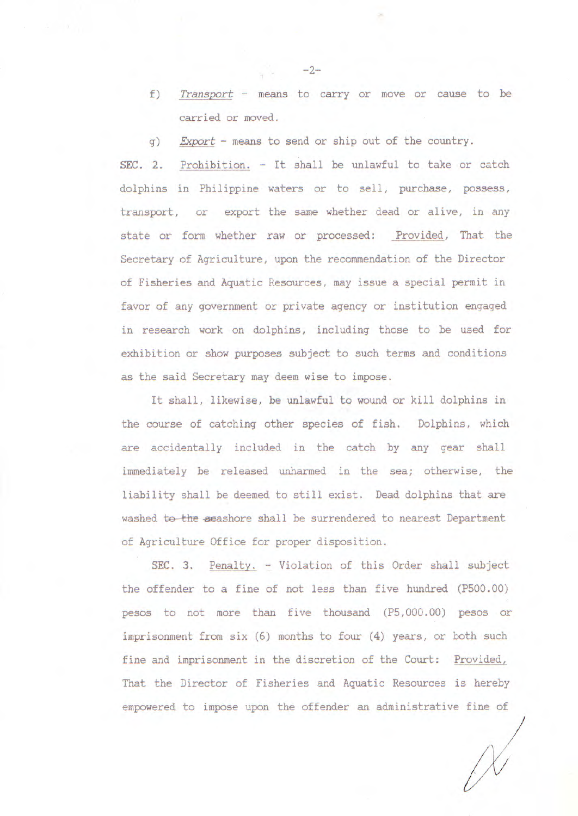- f) Transport means to carry or move or cause to be carried or moved.
- g) Export means to send or ship out of the country.

**SEC. 2.** Prohibition. - It shall be unlawful to take or catch dolphins in Philippine waters or to sell, purchase, possess, transport, or export the same whether dead or alive, in any state or form whether raw or processed: Provided, That the Secretary of Agriculture, upon the recommendation of the Director of Fisheries and Aquatic Resources, may issue a special permit in favor of any government or private agency or institution engaged in research work on dolphins, including those to be used for exhibition or show purposes subject to such terms and conditions as the said Secretary may deem wise to impose.

It shall, likewise, be unlawful to wound or kill dolphins in the course of catching other species of fish. Dolphins, which are accidentally included in the catch by any gear shall immediately be released unharmed in the sea; otherwise, the liability shall be deemed to still exist. Dead dolphins that are washed to the seashore shall be surrendered to nearest Department of Agriculture Office for proper disposition.

**SEC. 3.** Penalty. - Violation of this Order shall subject the offender to a fine of not less than five hundred (P500.00) pesos to not more than five thousand (P5,000.00) pesos or imprisonment from six (6) months to four (4) years, or both such fine and imprisonment in the discretion of the Court: Provided, That the Director of Fisheries and Aquatic Resources is hereby empowered to impose upon the offender an administrative fine of

 $-2-$